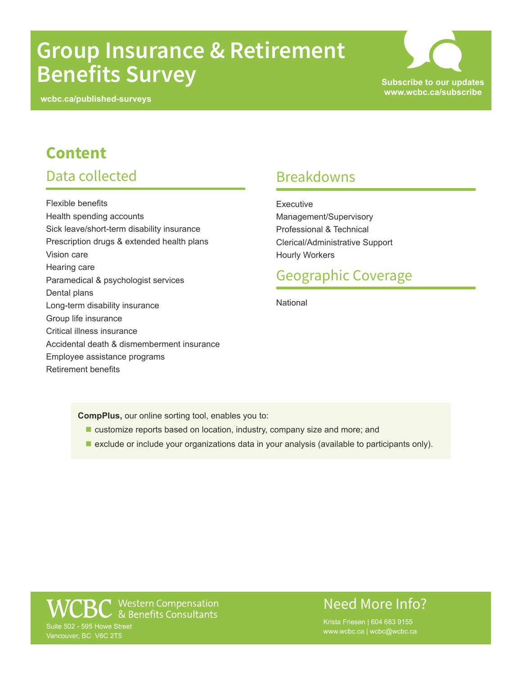# **Group Insurance & Retirement Benefits Survey Subscribe to our updates**

**wcbc.ca/published-surveys**



## **Content**

#### Data collected

Flexible benefits Health spending accounts Sick leave/short-term disability insurance Prescription drugs & extended health plans Vision care Hearing care Paramedical & psychologist services Dental plans Long-term disability insurance Group life insurance Critical illness insurance Accidental death & dismemberment insurance Employee assistance programs Retirement benefits

#### Breakdowns

**Executive** Management/Supervisory Professional & Technical Clerical/Administrative Support Hourly Workers

#### Geographic Coverage

**National** 

**CompPlus,** our online sorting tool, enables you to:

- customize reports based on location, industry, company size and more; and
- **E** exclude or include your organizations data in your analysis (available to participants only).

● Western Compensation<br>← & Benefits Consultants Suite 502 - 595 Howe Street Vancouver, BC V6C 2T5

#### Need More Info?

www.wcbc.ca | wcbc@wcbc.ca